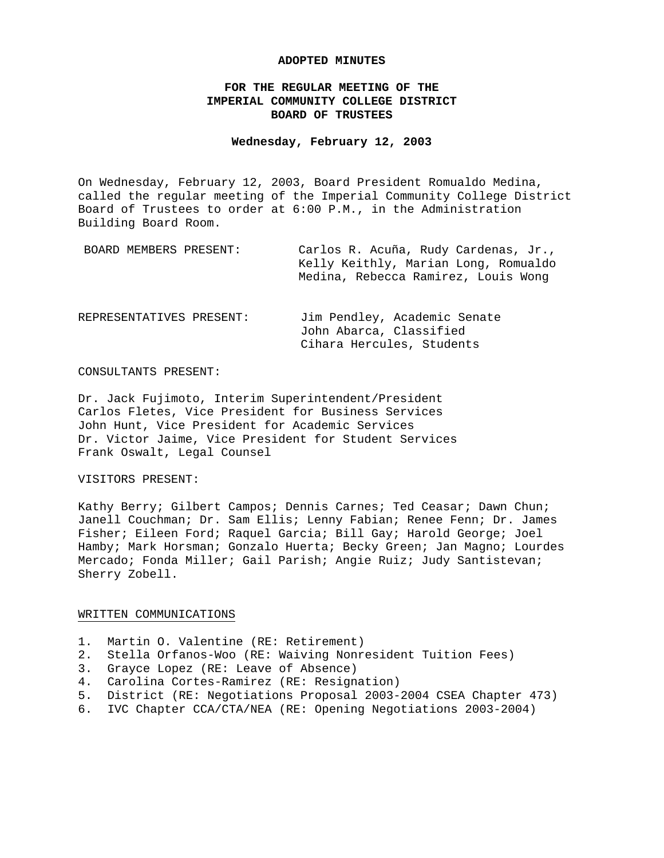### **ADOPTED MINUTES**

# **FOR THE REGULAR MEETING OF THE IMPERIAL COMMUNITY COLLEGE DISTRICT BOARD OF TRUSTEES**

# **Wednesday, February 12, 2003**

On Wednesday, February 12, 2003, Board President Romualdo Medina, called the regular meeting of the Imperial Community College District Board of Trustees to order at 6:00 P.M., in the Administration Building Board Room.

| BOARD MEMBERS PRESENT:   | Carlos R. Acuña, Rudy Cardenas, Jr.,<br>Kelly Keithly, Marian Long, Romualdo<br>Medina, Rebecca Ramirez, Louis Wong |
|--------------------------|---------------------------------------------------------------------------------------------------------------------|
| REPRESENTATIVES PRESENT: | Jim Pendley, Academic Senate<br>John Abarca, Classified<br>Cihara Hercules, Students                                |

#### CONSULTANTS PRESENT:

Dr. Jack Fujimoto, Interim Superintendent/President Carlos Fletes, Vice President for Business Services John Hunt, Vice President for Academic Services Dr. Victor Jaime, Vice President for Student Services Frank Oswalt, Legal Counsel

#### VISITORS PRESENT:

Kathy Berry; Gilbert Campos; Dennis Carnes; Ted Ceasar; Dawn Chun; Janell Couchman; Dr. Sam Ellis; Lenny Fabian; Renee Fenn; Dr. James Fisher; Eileen Ford; Raquel Garcia; Bill Gay; Harold George; Joel Hamby; Mark Horsman; Gonzalo Huerta; Becky Green; Jan Magno; Lourdes Mercado; Fonda Miller; Gail Parish; Angie Ruiz; Judy Santistevan; Sherry Zobell.

### WRITTEN COMMUNICATIONS

- 1. Martin O. Valentine (RE: Retirement)
- 2. Stella Orfanos-Woo (RE: Waiving Nonresident Tuition Fees)
- 3. Grayce Lopez (RE: Leave of Absence)
- 4. Carolina Cortes-Ramirez (RE: Resignation)
- 5. District (RE: Negotiations Proposal 2003-2004 CSEA Chapter 473)
- 6. IVC Chapter CCA/CTA/NEA (RE: Opening Negotiations 2003-2004)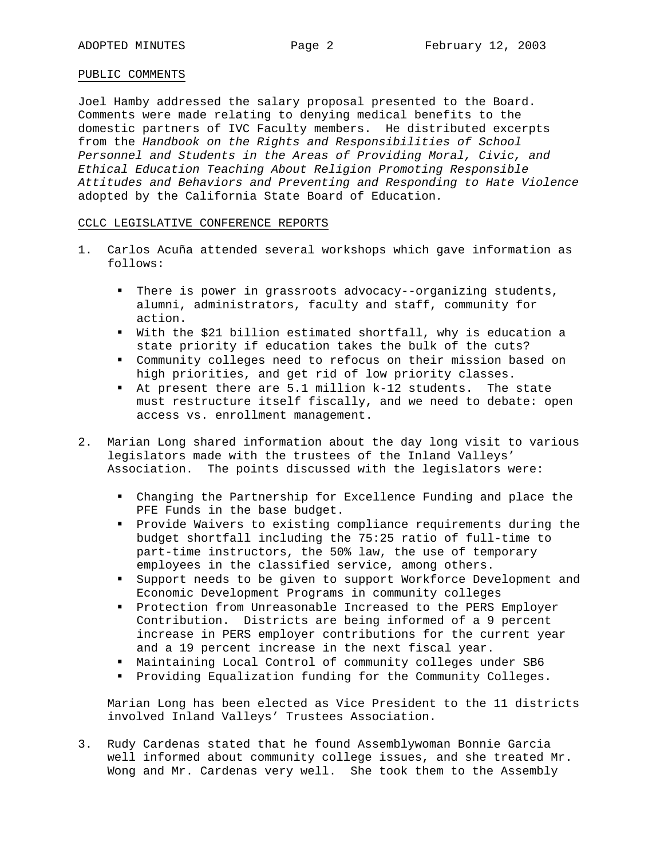## PUBLIC COMMENTS

Joel Hamby addressed the salary proposal presented to the Board. Comments were made relating to denying medical benefits to the domestic partners of IVC Faculty members. He distributed excerpts from the *Handbook on the Rights and Responsibilities of School Personnel and Students in the Areas of Providing Moral, Civic, and Ethical Education Teaching About Religion Promoting Responsible Attitudes and Behaviors and Preventing and Responding to Hate Violence*  adopted by the California State Board of Education*.*

## CCLC LEGISLATIVE CONFERENCE REPORTS

- 1. Carlos Acuña attended several workshops which gave information as follows:
	- There is power in grassroots advocacy--organizing students, alumni, administrators, faculty and staff, community for action.
	- With the \$21 billion estimated shortfall, why is education a state priority if education takes the bulk of the cuts?
	- Community colleges need to refocus on their mission based on high priorities, and get rid of low priority classes.
	- At present there are 5.1 million k-12 students. The state must restructure itself fiscally, and we need to debate: open access vs. enrollment management.
- 2. Marian Long shared information about the day long visit to various legislators made with the trustees of the Inland Valleys' Association. The points discussed with the legislators were:
	- Changing the Partnership for Excellence Funding and place the PFE Funds in the base budget.
	- Provide Waivers to existing compliance requirements during the budget shortfall including the 75:25 ratio of full-time to part-time instructors, the 50% law, the use of temporary employees in the classified service, among others.
	- Support needs to be given to support Workforce Development and Economic Development Programs in community colleges
	- **Protection from Unreasonable Increased to the PERS Employer** Contribution. Districts are being informed of a 9 percent increase in PERS employer contributions for the current year and a 19 percent increase in the next fiscal year.
	- Maintaining Local Control of community colleges under SB6
	- **Providing Equalization funding for the Community Colleges.**

Marian Long has been elected as Vice President to the 11 districts involved Inland Valleys' Trustees Association.

3. Rudy Cardenas stated that he found Assemblywoman Bonnie Garcia well informed about community college issues, and she treated Mr. Wong and Mr. Cardenas very well. She took them to the Assembly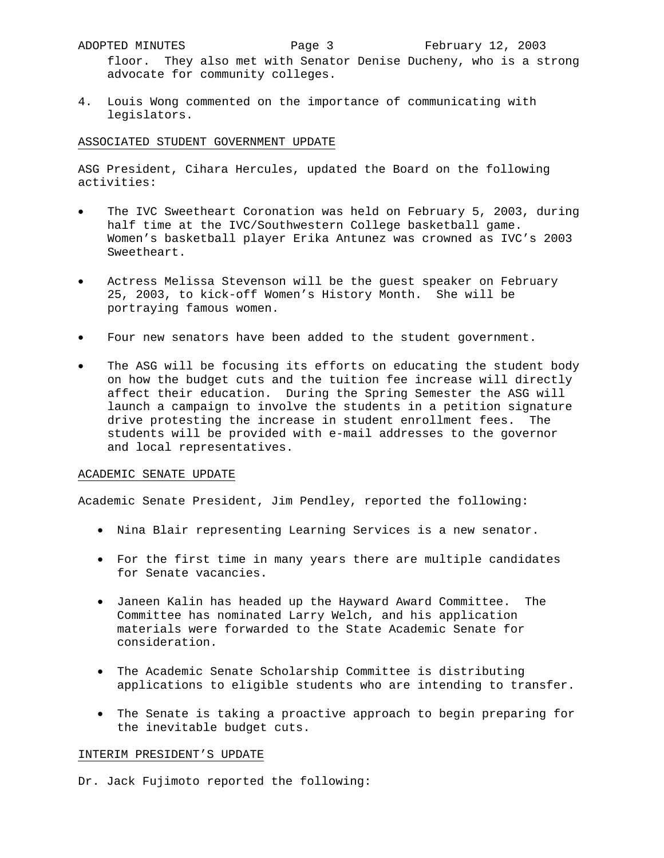floor. They also met with Senator Denise Ducheny, who is a strong advocate for community colleges.

4. Louis Wong commented on the importance of communicating with legislators.

# ASSOCIATED STUDENT GOVERNMENT UPDATE

ASG President, Cihara Hercules, updated the Board on the following activities:

- The IVC Sweetheart Coronation was held on February 5, 2003, during half time at the IVC/Southwestern College basketball game. Women's basketball player Erika Antunez was crowned as IVC's 2003 Sweetheart.
- Actress Melissa Stevenson will be the guest speaker on February 25, 2003, to kick-off Women's History Month. She will be portraying famous women.
- Four new senators have been added to the student government.
- The ASG will be focusing its efforts on educating the student body on how the budget cuts and the tuition fee increase will directly affect their education. During the Spring Semester the ASG will launch a campaign to involve the students in a petition signature drive protesting the increase in student enrollment fees. The students will be provided with e-mail addresses to the governor and local representatives.

### ACADEMIC SENATE UPDATE

Academic Senate President, Jim Pendley, reported the following:

- Nina Blair representing Learning Services is a new senator.
- For the first time in many years there are multiple candidates for Senate vacancies.
- Janeen Kalin has headed up the Hayward Award Committee. The Committee has nominated Larry Welch, and his application materials were forwarded to the State Academic Senate for consideration.
- The Academic Senate Scholarship Committee is distributing applications to eligible students who are intending to transfer.
- The Senate is taking a proactive approach to begin preparing for the inevitable budget cuts.

### INTERIM PRESIDENT'S UPDATE

Dr. Jack Fujimoto reported the following: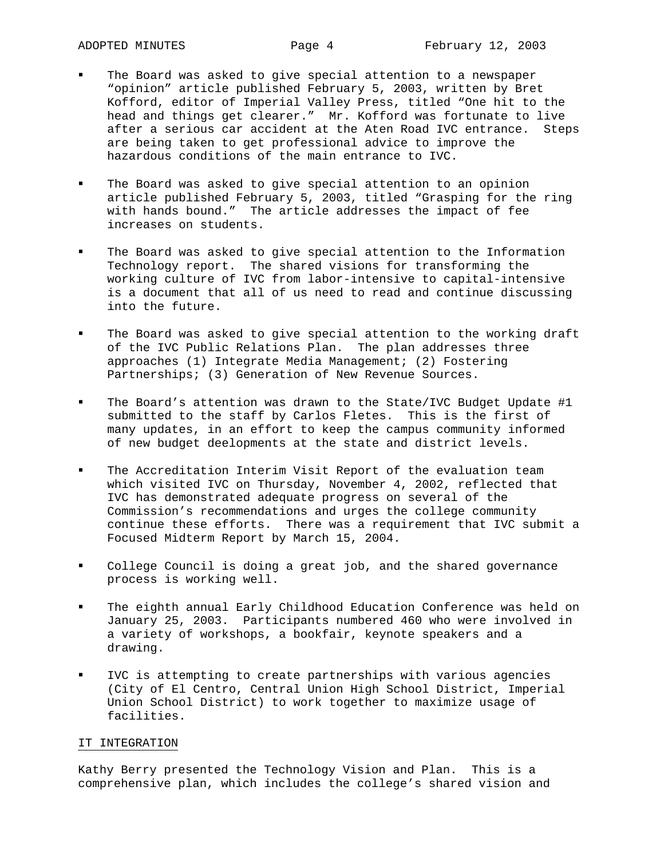- The Board was asked to give special attention to a newspaper "opinion" article published February 5, 2003, written by Bret Kofford, editor of Imperial Valley Press, titled "One hit to the head and things get clearer." Mr. Kofford was fortunate to live after a serious car accident at the Aten Road IVC entrance. Steps are being taken to get professional advice to improve the hazardous conditions of the main entrance to IVC.
- The Board was asked to give special attention to an opinion article published February 5, 2003, titled "Grasping for the ring with hands bound." The article addresses the impact of fee increases on students.
- The Board was asked to give special attention to the Information Technology report. The shared visions for transforming the working culture of IVC from labor-intensive to capital-intensive is a document that all of us need to read and continue discussing into the future.
- The Board was asked to give special attention to the working draft of the IVC Public Relations Plan. The plan addresses three approaches (1) Integrate Media Management; (2) Fostering Partnerships; (3) Generation of New Revenue Sources.
- The Board's attention was drawn to the State/IVC Budget Update #1 submitted to the staff by Carlos Fletes. This is the first of many updates, in an effort to keep the campus community informed of new budget deelopments at the state and district levels.
- The Accreditation Interim Visit Report of the evaluation team which visited IVC on Thursday, November 4, 2002, reflected that IVC has demonstrated adequate progress on several of the Commission's recommendations and urges the college community continue these efforts. There was a requirement that IVC submit a Focused Midterm Report by March 15, 2004.
- College Council is doing a great job, and the shared governance process is working well.
- The eighth annual Early Childhood Education Conference was held on January 25, 2003. Participants numbered 460 who were involved in a variety of workshops, a bookfair, keynote speakers and a drawing.
- IVC is attempting to create partnerships with various agencies (City of El Centro, Central Union High School District, Imperial Union School District) to work together to maximize usage of facilities.

## IT INTEGRATION

Kathy Berry presented the Technology Vision and Plan. This is a comprehensive plan, which includes the college's shared vision and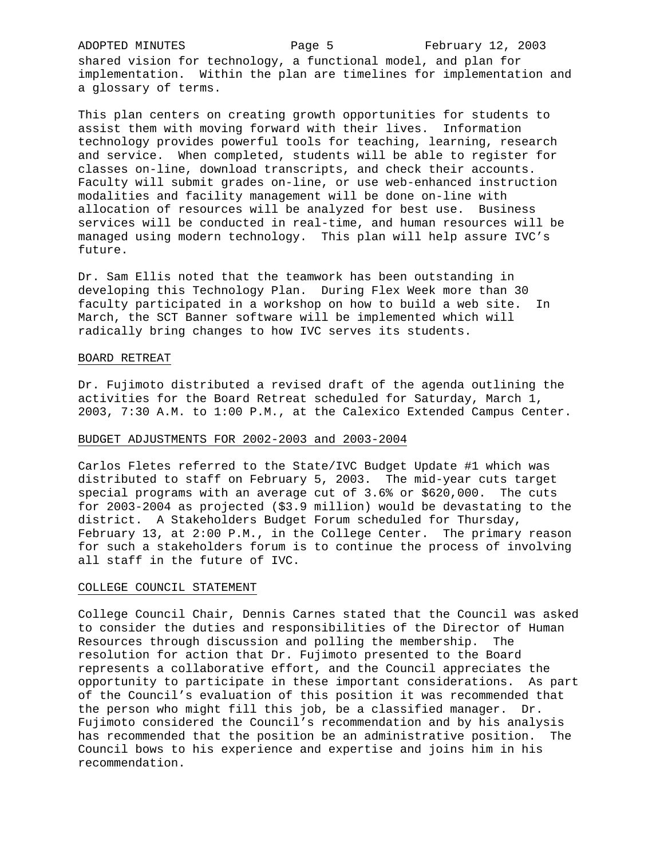shared vision for technology, a functional model, and plan for implementation. Within the plan are timelines for implementation and a glossary of terms.

This plan centers on creating growth opportunities for students to assist them with moving forward with their lives. Information technology provides powerful tools for teaching, learning, research and service. When completed, students will be able to register for classes on-line, download transcripts, and check their accounts. Faculty will submit grades on-line, or use web-enhanced instruction modalities and facility management will be done on-line with allocation of resources will be analyzed for best use. Business services will be conducted in real-time, and human resources will be managed using modern technology. This plan will help assure IVC's future.

Dr. Sam Ellis noted that the teamwork has been outstanding in developing this Technology Plan. During Flex Week more than 30 faculty participated in a workshop on how to build a web site. In March, the SCT Banner software will be implemented which will radically bring changes to how IVC serves its students.

#### BOARD RETREAT

Dr. Fujimoto distributed a revised draft of the agenda outlining the activities for the Board Retreat scheduled for Saturday, March 1, 2003, 7:30 A.M. to 1:00 P.M., at the Calexico Extended Campus Center.

#### BUDGET ADJUSTMENTS FOR 2002-2003 and 2003-2004

Carlos Fletes referred to the State/IVC Budget Update #1 which was distributed to staff on February 5, 2003. The mid-year cuts target special programs with an average cut of 3.6% or \$620,000. The cuts for 2003-2004 as projected (\$3.9 million) would be devastating to the district. A Stakeholders Budget Forum scheduled for Thursday, February 13, at 2:00 P.M., in the College Center. The primary reason for such a stakeholders forum is to continue the process of involving all staff in the future of IVC.

#### COLLEGE COUNCIL STATEMENT

College Council Chair, Dennis Carnes stated that the Council was asked to consider the duties and responsibilities of the Director of Human Resources through discussion and polling the membership. The resolution for action that Dr. Fujimoto presented to the Board represents a collaborative effort, and the Council appreciates the opportunity to participate in these important considerations. As part of the Council's evaluation of this position it was recommended that the person who might fill this job, be a classified manager. Dr. Fujimoto considered the Council's recommendation and by his analysis has recommended that the position be an administrative position. The Council bows to his experience and expertise and joins him in his recommendation.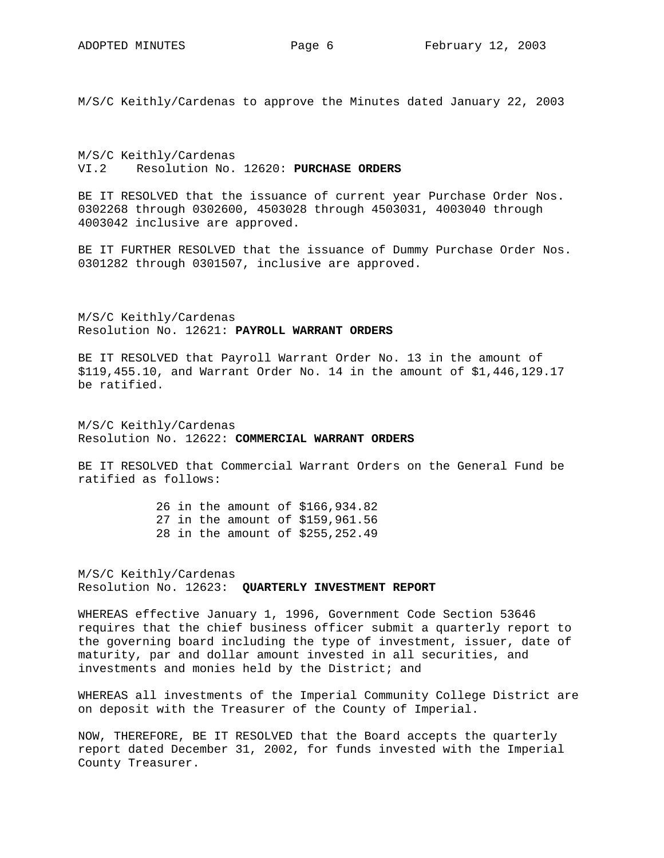M/S/C Keithly/Cardenas to approve the Minutes dated January 22, 2003

M/S/C Keithly/Cardenas VI.2 Resolution No. 12620: **PURCHASE ORDERS**

BE IT RESOLVED that the issuance of current year Purchase Order Nos. 0302268 through 0302600, 4503028 through 4503031, 4003040 through 4003042 inclusive are approved.

BE IT FURTHER RESOLVED that the issuance of Dummy Purchase Order Nos. 0301282 through 0301507, inclusive are approved.

M/S/C Keithly/Cardenas Resolution No. 12621: **PAYROLL WARRANT ORDERS**

BE IT RESOLVED that Payroll Warrant Order No. 13 in the amount of \$119,455.10, and Warrant Order No. 14 in the amount of \$1,446,129.17 be ratified.

M/S/C Keithly/Cardenas Resolution No. 12622: **COMMERCIAL WARRANT ORDERS**

BE IT RESOLVED that Commercial Warrant Orders on the General Fund be ratified as follows:

> 26 in the amount of \$166,934.82 27 in the amount of \$159,961.56 28 in the amount of \$255,252.49

M/S/C Keithly/Cardenas Resolution No. 12623: **QUARTERLY INVESTMENT REPORT** 

WHEREAS effective January 1, 1996, Government Code Section 53646 requires that the chief business officer submit a quarterly report to the governing board including the type of investment, issuer, date of maturity, par and dollar amount invested in all securities, and investments and monies held by the District; and

WHEREAS all investments of the Imperial Community College District are on deposit with the Treasurer of the County of Imperial.

NOW, THEREFORE, BE IT RESOLVED that the Board accepts the quarterly report dated December 31, 2002, for funds invested with the Imperial County Treasurer.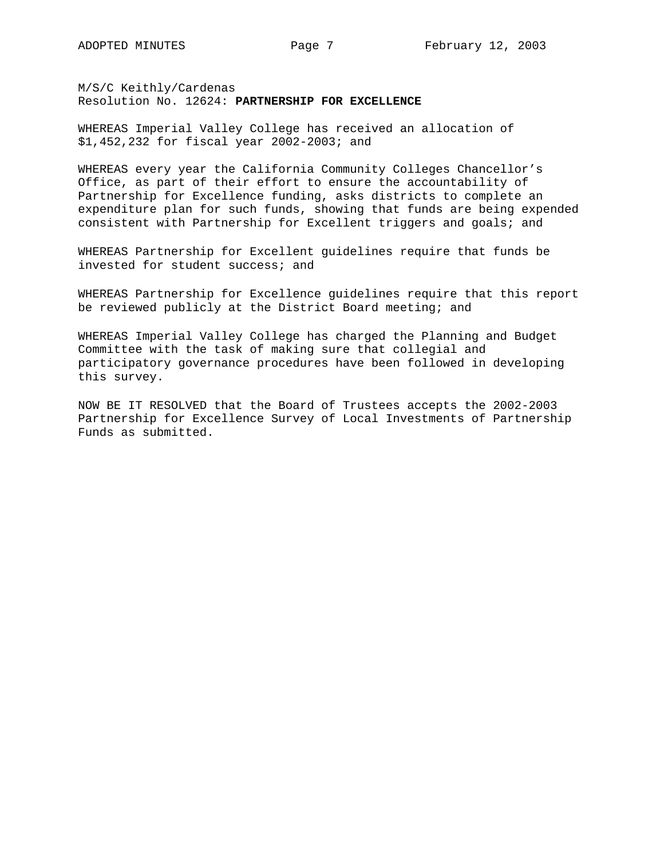M/S/C Keithly/Cardenas Resolution No. 12624: **PARTNERSHIP FOR EXCELLENCE** 

WHEREAS Imperial Valley College has received an allocation of \$1,452,232 for fiscal year 2002-2003; and

WHEREAS every year the California Community Colleges Chancellor's Office, as part of their effort to ensure the accountability of Partnership for Excellence funding, asks districts to complete an expenditure plan for such funds, showing that funds are being expended consistent with Partnership for Excellent triggers and goals; and

WHEREAS Partnership for Excellent guidelines require that funds be invested for student success; and

WHEREAS Partnership for Excellence guidelines require that this report be reviewed publicly at the District Board meeting; and

WHEREAS Imperial Valley College has charged the Planning and Budget Committee with the task of making sure that collegial and participatory governance procedures have been followed in developing this survey.

NOW BE IT RESOLVED that the Board of Trustees accepts the 2002-2003 Partnership for Excellence Survey of Local Investments of Partnership Funds as submitted.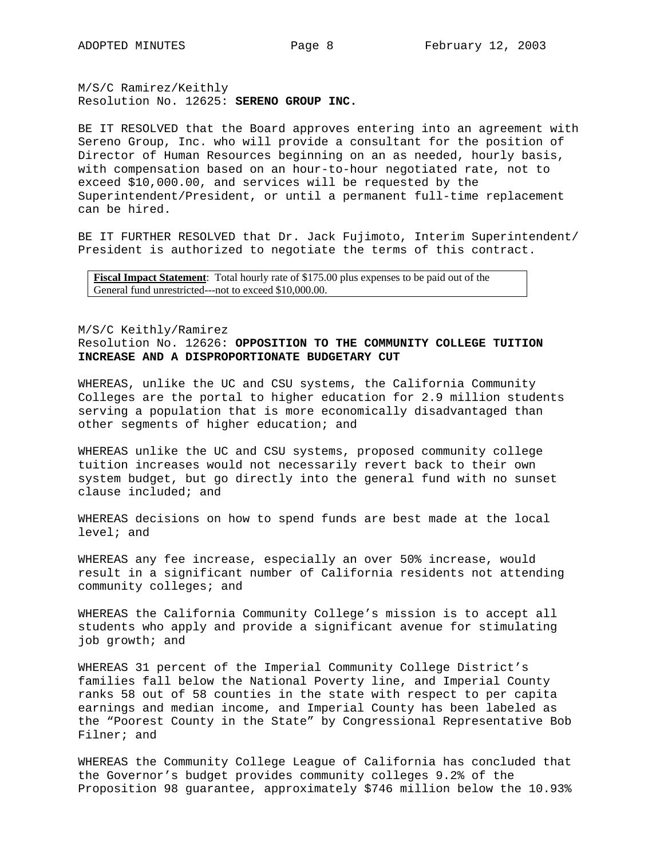M/S/C Ramirez/Keithly Resolution No. 12625: **SERENO GROUP INC.** 

BE IT RESOLVED that the Board approves entering into an agreement with Sereno Group, Inc. who will provide a consultant for the position of Director of Human Resources beginning on an as needed, hourly basis, with compensation based on an hour-to-hour negotiated rate, not to exceed \$10,000.00, and services will be requested by the Superintendent/President, or until a permanent full-time replacement can be hired.

BE IT FURTHER RESOLVED that Dr. Jack Fujimoto, Interim Superintendent/ President is authorized to negotiate the terms of this contract.

**Fiscal Impact Statement**: Total hourly rate of \$175.00 plus expenses to be paid out of the General fund unrestricted---not to exceed \$10,000.00.

# M/S/C Keithly/Ramirez Resolution No. 12626: **OPPOSITION TO THE COMMUNITY COLLEGE TUITION INCREASE AND A DISPROPORTIONATE BUDGETARY CUT**

WHEREAS, unlike the UC and CSU systems, the California Community Colleges are the portal to higher education for 2.9 million students serving a population that is more economically disadvantaged than other segments of higher education; and

WHEREAS unlike the UC and CSU systems, proposed community college tuition increases would not necessarily revert back to their own system budget, but go directly into the general fund with no sunset clause included; and

WHEREAS decisions on how to spend funds are best made at the local level; and

WHEREAS any fee increase, especially an over 50% increase, would result in a significant number of California residents not attending community colleges; and

WHEREAS the California Community College's mission is to accept all students who apply and provide a significant avenue for stimulating job growth; and

WHEREAS 31 percent of the Imperial Community College District's families fall below the National Poverty line, and Imperial County ranks 58 out of 58 counties in the state with respect to per capita earnings and median income, and Imperial County has been labeled as the "Poorest County in the State" by Congressional Representative Bob Filner; and

WHEREAS the Community College League of California has concluded that the Governor's budget provides community colleges 9.2% of the Proposition 98 guarantee, approximately \$746 million below the 10.93%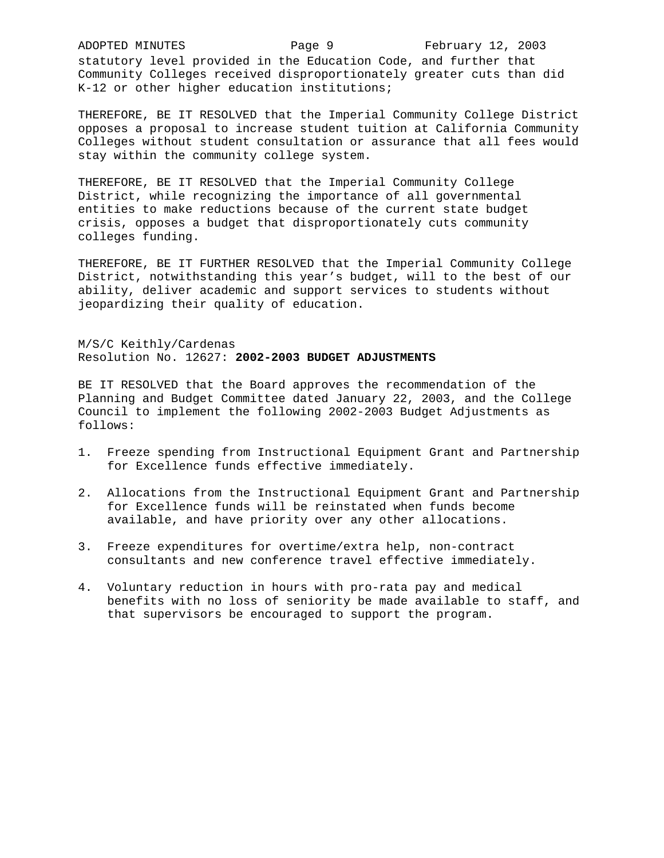statutory level provided in the Education Code, and further that Community Colleges received disproportionately greater cuts than did K-12 or other higher education institutions;

THEREFORE, BE IT RESOLVED that the Imperial Community College District opposes a proposal to increase student tuition at California Community Colleges without student consultation or assurance that all fees would stay within the community college system.

THEREFORE, BE IT RESOLVED that the Imperial Community College District, while recognizing the importance of all governmental entities to make reductions because of the current state budget crisis, opposes a budget that disproportionately cuts community colleges funding.

THEREFORE, BE IT FURTHER RESOLVED that the Imperial Community College District, notwithstanding this year's budget, will to the best of our ability, deliver academic and support services to students without jeopardizing their quality of education.

M/S/C Keithly/Cardenas Resolution No. 12627: **2002-2003 BUDGET ADJUSTMENTS** 

BE IT RESOLVED that the Board approves the recommendation of the Planning and Budget Committee dated January 22, 2003, and the College Council to implement the following 2002-2003 Budget Adjustments as follows:

- 1. Freeze spending from Instructional Equipment Grant and Partnership for Excellence funds effective immediately.
- 2. Allocations from the Instructional Equipment Grant and Partnership for Excellence funds will be reinstated when funds become available, and have priority over any other allocations.
- 3. Freeze expenditures for overtime/extra help, non-contract consultants and new conference travel effective immediately.
- 4. Voluntary reduction in hours with pro-rata pay and medical benefits with no loss of seniority be made available to staff, and that supervisors be encouraged to support the program.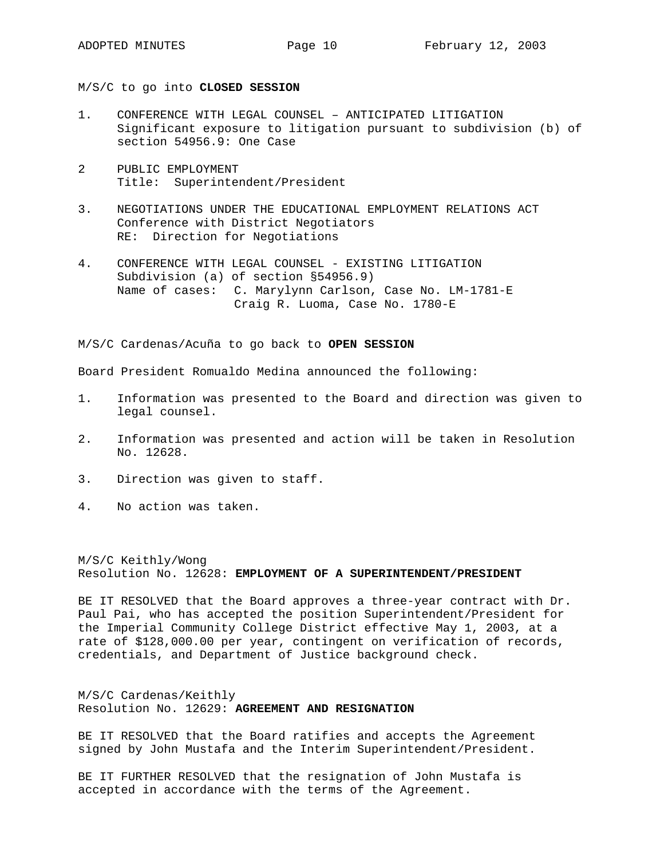M/S/C to go into **CLOSED SESSION** 

- 1. CONFERENCE WITH LEGAL COUNSEL ANTICIPATED LITIGATION Significant exposure to litigation pursuant to subdivision (b) of section 54956.9: One Case
- 2 PUBLIC EMPLOYMENT Title: Superintendent/President
- 3. NEGOTIATIONS UNDER THE EDUCATIONAL EMPLOYMENT RELATIONS ACT Conference with District Negotiators RE: Direction for Negotiations
- 4. CONFERENCE WITH LEGAL COUNSEL EXISTING LITIGATION Subdivision (a) of section §54956.9) Name of cases: C. Marylynn Carlson, Case No. LM-1781-E Craig R. Luoma, Case No. 1780-E

M/S/C Cardenas/Acuña to go back to **OPEN SESSION** 

Board President Romualdo Medina announced the following:

- 1. Information was presented to the Board and direction was given to legal counsel.
- 2. Information was presented and action will be taken in Resolution No. 12628.
- 3. Direction was given to staff.
- 4. No action was taken.

M/S/C Keithly/Wong Resolution No. 12628: **EMPLOYMENT OF A SUPERINTENDENT/PRESIDENT**

BE IT RESOLVED that the Board approves a three-year contract with Dr. Paul Pai, who has accepted the position Superintendent/President for the Imperial Community College District effective May 1, 2003, at a rate of \$128,000.00 per year, contingent on verification of records, credentials, and Department of Justice background check.

M/S/C Cardenas/Keithly Resolution No. 12629: **AGREEMENT AND RESIGNATION**

BE IT RESOLVED that the Board ratifies and accepts the Agreement signed by John Mustafa and the Interim Superintendent/President.

BE IT FURTHER RESOLVED that the resignation of John Mustafa is accepted in accordance with the terms of the Agreement.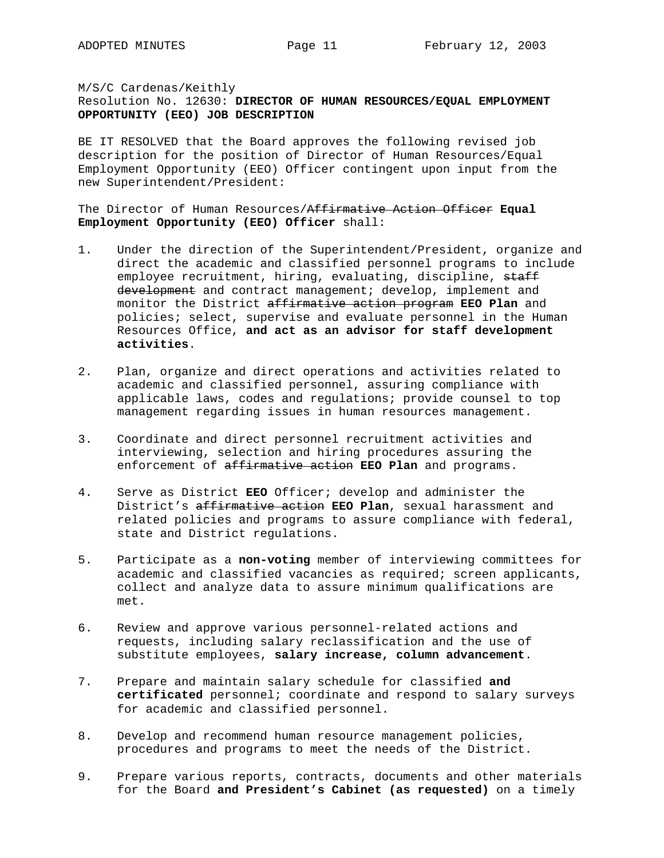M/S/C Cardenas/Keithly Resolution No. 12630: **DIRECTOR OF HUMAN RESOURCES/EQUAL EMPLOYMENT OPPORTUNITY (EEO) JOB DESCRIPTION**

BE IT RESOLVED that the Board approves the following revised job description for the position of Director of Human Resources/Equal Employment Opportunity (EEO) Officer contingent upon input from the new Superintendent/President:

The Director of Human Resources/Affirmative Action Officer **Equal Employment Opportunity (EEO) Officer** shall:

- 1. Under the direction of the Superintendent/President, organize and direct the academic and classified personnel programs to include employee recruitment, hiring, evaluating, discipline, staff development and contract management; develop, implement and monitor the District affirmative action program **EEO Plan** and policies; select, supervise and evaluate personnel in the Human Resources Office, **and act as an advisor for staff development activities**.
- 2. Plan, organize and direct operations and activities related to academic and classified personnel, assuring compliance with applicable laws, codes and regulations; provide counsel to top management regarding issues in human resources management.
- 3. Coordinate and direct personnel recruitment activities and interviewing, selection and hiring procedures assuring the enforcement of affirmative action **EEO Plan** and programs.
- 4. Serve as District **EEO** Officer; develop and administer the District's affirmative action **EEO Plan**, sexual harassment and related policies and programs to assure compliance with federal, state and District regulations.
- 5. Participate as a **non-voting** member of interviewing committees for academic and classified vacancies as required; screen applicants, collect and analyze data to assure minimum qualifications are met.
- 6. Review and approve various personnel-related actions and requests, including salary reclassification and the use of substitute employees, **salary increase, column advancement**.
- 7. Prepare and maintain salary schedule for classified **and certificated** personnel; coordinate and respond to salary surveys for academic and classified personnel.
- 8. Develop and recommend human resource management policies, procedures and programs to meet the needs of the District.
- 9. Prepare various reports, contracts, documents and other materials for the Board **and President's Cabinet (as requested)** on a timely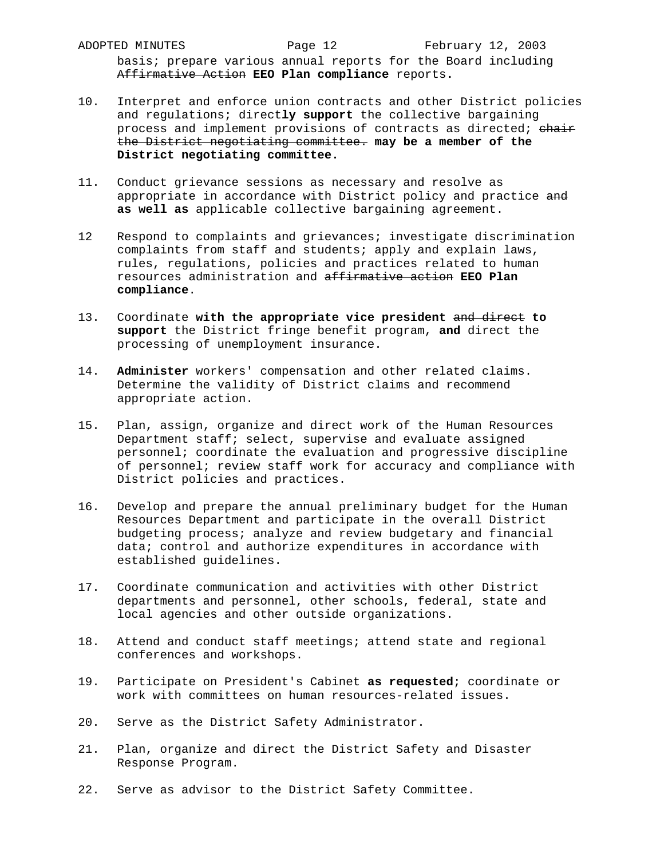ADOPTED MINUTES **Page 12** February 12, 2003 basis; prepare various annual reports for the Board including Affirmative Action **EEO Plan compliance** reports**.**

- 10. Interpret and enforce union contracts and other District policies and regulations; direct**ly support** the collective bargaining process and implement provisions of contracts as directed; chair the District negotiating committee. **may be a member of the District negotiating committee.**
- 11. Conduct grievance sessions as necessary and resolve as appropriate in accordance with District policy and practice and **as well as** applicable collective bargaining agreement.
- 12 Respond to complaints and grievances; investigate discrimination complaints from staff and students; apply and explain laws, rules, regulations, policies and practices related to human resources administration and affirmative action **EEO Plan compliance**.
- 13. Coordinate **with the appropriate vice president** and direct **to support** the District fringe benefit program, **and** direct the processing of unemployment insurance.
- 14. **Administer** workers' compensation and other related claims. Determine the validity of District claims and recommend appropriate action.
- 15. Plan, assign, organize and direct work of the Human Resources Department staff; select, supervise and evaluate assigned personnel; coordinate the evaluation and progressive discipline of personnel; review staff work for accuracy and compliance with District policies and practices.
- 16. Develop and prepare the annual preliminary budget for the Human Resources Department and participate in the overall District budgeting process; analyze and review budgetary and financial data; control and authorize expenditures in accordance with established guidelines.
- 17. Coordinate communication and activities with other District departments and personnel, other schools, federal, state and local agencies and other outside organizations.
- 18. Attend and conduct staff meetings; attend state and regional conferences and workshops.
- 19. Participate on President's Cabinet **as requested**; coordinate or work with committees on human resources-related issues.
- 20. Serve as the District Safety Administrator.
- 21. Plan, organize and direct the District Safety and Disaster Response Program.
- 22. Serve as advisor to the District Safety Committee.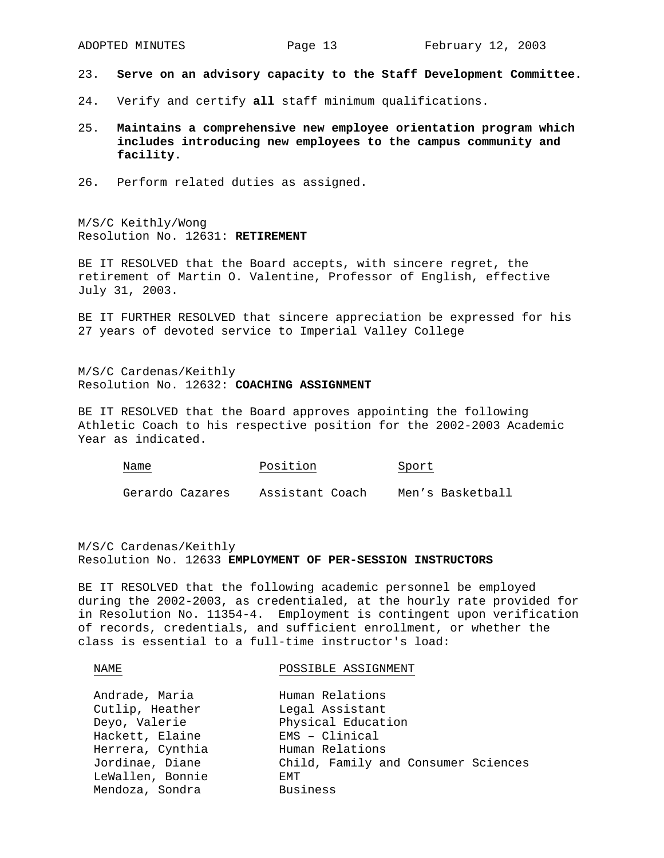- 23. **Serve on an advisory capacity to the Staff Development Committee.**
- 24. Verify and certify **all** staff minimum qualifications.
- 25. **Maintains a comprehensive new employee orientation program which includes introducing new employees to the campus community and facility.**
- 26. Perform related duties as assigned.

M/S/C Keithly/Wong Resolution No. 12631: **RETIREMENT**

BE IT RESOLVED that the Board accepts, with sincere regret, the retirement of Martin O. Valentine, Professor of English, effective July 31, 2003.

BE IT FURTHER RESOLVED that sincere appreciation be expressed for his 27 years of devoted service to Imperial Valley College

M/S/C Cardenas/Keithly Resolution No. 12632: **COACHING ASSIGNMENT**

BE IT RESOLVED that the Board approves appointing the following Athletic Coach to his respective position for the 2002-2003 Academic Year as indicated.

| <u> The Communication of the Communication of the Communication of the Communication of the Communication of the Communication of the Communication of the Communication of the Communication of the Communication of the Commun</u> | <u> 1980 - Andrea Stadt Britain, amerikansk politik (</u> |
|--------------------------------------------------------------------------------------------------------------------------------------------------------------------------------------------------------------------------------------|-----------------------------------------------------------|
|                                                                                                                                                                                                                                      |                                                           |
|                                                                                                                                                                                                                                      |                                                           |
|                                                                                                                                                                                                                                      |                                                           |
|                                                                                                                                                                                                                                      |                                                           |
|                                                                                                                                                                                                                                      |                                                           |
|                                                                                                                                                                                                                                      |                                                           |
|                                                                                                                                                                                                                                      |                                                           |
|                                                                                                                                                                                                                                      |                                                           |

Gerardo Cazares Assistant Coach Men's Basketball

# M/S/C Cardenas/Keithly Resolution No. 12633 **EMPLOYMENT OF PER-SESSION INSTRUCTORS**

Name Position Sport

BE IT RESOLVED that the following academic personnel be employed during the 2002-2003, as credentialed, at the hourly rate provided for in Resolution No. 11354-4. Employment is contingent upon verification of records, credentials, and sufficient enrollment, or whether the class is essential to a full-time instructor's load:

#### NAME

POSSIBLE ASSIGNMENT

| Andrade, Maria   | Human Relations                     |
|------------------|-------------------------------------|
| Cutlip, Heather  | Legal Assistant                     |
| Deyo, Valerie    | Physical Education                  |
| Hackett, Elaine  | EMS - Clinical                      |
| Herrera, Cynthia | Human Relations                     |
| Jordinae, Diane  | Child, Family and Consumer Sciences |
| LeWallen, Bonnie | <b>F.MT</b>                         |
| Mendoza, Sondra  | <b>Business</b>                     |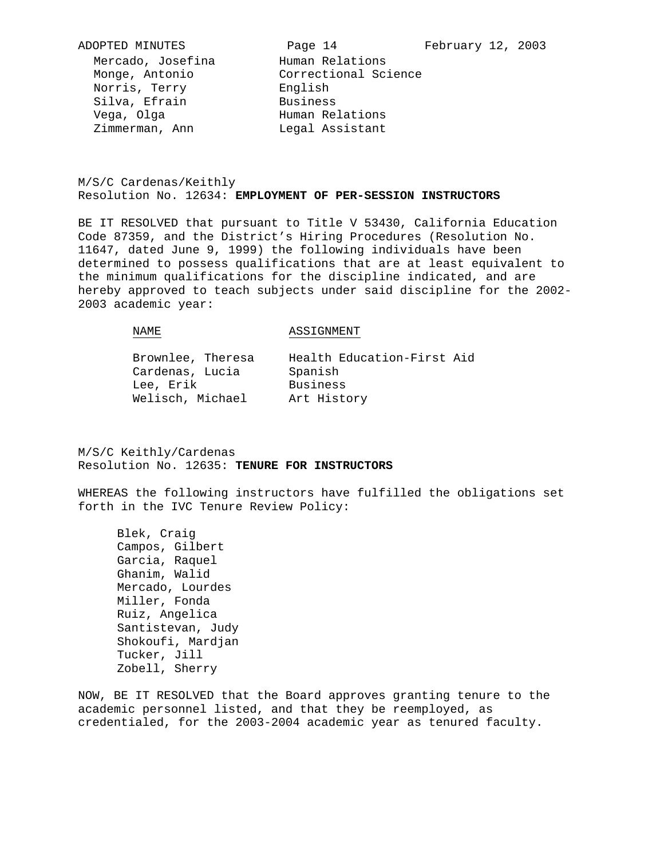# M/S/C Cardenas/Keithly Resolution No. 12634: **EMPLOYMENT OF PER-SESSION INSTRUCTORS**

BE IT RESOLVED that pursuant to Title V 53430, California Education Code 87359, and the District's Hiring Procedures (Resolution No. 11647, dated June 9, 1999) the following individuals have been determined to possess qualifications that are at least equivalent to the minimum qualifications for the discipline indicated, and are hereby approved to teach subjects under said discipline for the 2002- 2003 academic year:

#### NAME

#### ASSIGNMENT

Brownlee, Theresa Cardenas, Lucia Lee, Erik Welisch, Michael Art History

Health Education-First Aid Spanish Business

M/S/C Keithly/Cardenas Resolution No. 12635: **TENURE FOR INSTRUCTORS**

WHEREAS the following instructors have fulfilled the obligations set forth in the IVC Tenure Review Policy:

 Blek, Craig Campos, Gilbert Garcia, Raquel Ghanim, Walid Mercado, Lourdes Miller, Fonda Ruiz, Angelica Santistevan, Judy Shokoufi, Mardjan Tucker, Jill Zobell, Sherry

NOW, BE IT RESOLVED that the Board approves granting tenure to the academic personnel listed, and that they be reemployed, as credentialed, for the 2003-2004 academic year as tenured faculty.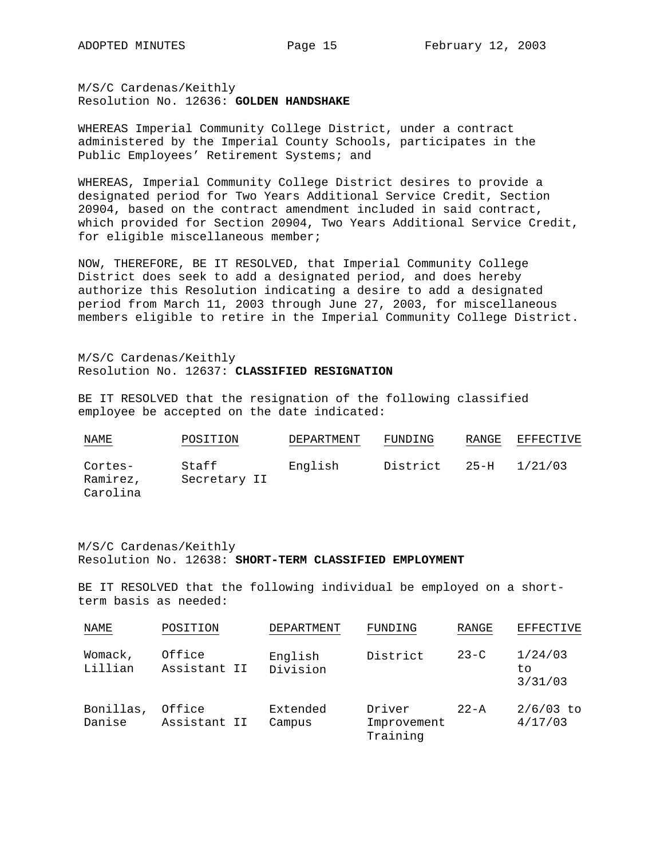M/S/C Cardenas/Keithly Resolution No. 12636: **GOLDEN HANDSHAKE** 

WHEREAS Imperial Community College District, under a contract administered by the Imperial County Schools, participates in the Public Employees' Retirement Systems; and

WHEREAS, Imperial Community College District desires to provide a designated period for Two Years Additional Service Credit, Section 20904, based on the contract amendment included in said contract, which provided for Section 20904, Two Years Additional Service Credit, for eligible miscellaneous member;

NOW, THEREFORE, BE IT RESOLVED, that Imperial Community College District does seek to add a designated period, and does hereby authorize this Resolution indicating a desire to add a designated period from March 11, 2003 through June 27, 2003, for miscellaneous members eligible to retire in the Imperial Community College District.

M/S/C Cardenas/Keithly Resolution No. 12637: **CLASSIFIED RESIGNATION**

BE IT RESOLVED that the resignation of the following classified employee be accepted on the date indicated:

| NAME                            | POSITION              | DEPARTMENT | FUNDING  | RANGE    | EFFECTIVE |
|---------------------------------|-----------------------|------------|----------|----------|-----------|
| Cortes-<br>Ramirez,<br>Carolina | Staff<br>Secretary II | English    | District | $25 - H$ | 1/21/03   |

M/S/C Cardenas/Keithly Resolution No. 12638: **SHORT-TERM CLASSIFIED EMPLOYMENT**

BE IT RESOLVED that the following individual be employed on a shortterm basis as needed:

| NAME                | POSITION               | <b>DEPARTMENT</b>   | FUNDING                           | RANGE    | <b>EFFECTIVE</b>         |
|---------------------|------------------------|---------------------|-----------------------------------|----------|--------------------------|
| Womack,<br>Lillian  | Office<br>Assistant II | English<br>Division | District                          | $23-C$   | 1/24/03<br>to<br>3/31/03 |
| Bonillas,<br>Danise | Office<br>Assistant II | Extended<br>Campus  | Driver<br>Improvement<br>Training | $22 - A$ | $2/6/03$ to<br>4/17/03   |